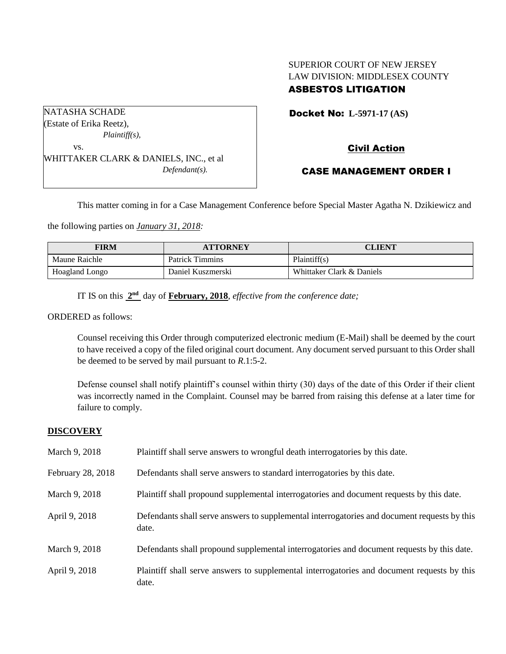# SUPERIOR COURT OF NEW JERSEY LAW DIVISION: MIDDLESEX COUNTY ASBESTOS LITIGATION

Docket No: **L-5971-17 (AS)** 

# Civil Action

### CASE MANAGEMENT ORDER I

This matter coming in for a Case Management Conference before Special Master Agatha N. Dzikiewicz and

the following parties on *January 31, 2018:*

| <b>FIRM</b>    | <b>ATTORNEY</b>        | CLIENT                    |
|----------------|------------------------|---------------------------|
| Maune Raichle  | <b>Patrick Timmins</b> | Plaintiff(s)              |
| Hoagland Longo | Daniel Kuszmerski      | Whittaker Clark & Daniels |

IT IS on this  $2<sup>nd</sup>$  day of **February, 2018**, *effective from the conference date*;

ORDERED as follows:

NATASHA SCHADE

Counsel receiving this Order through computerized electronic medium (E-Mail) shall be deemed by the court to have received a copy of the filed original court document. Any document served pursuant to this Order shall be deemed to be served by mail pursuant to *R*.1:5-2.

Defense counsel shall notify plaintiff's counsel within thirty (30) days of the date of this Order if their client was incorrectly named in the Complaint. Counsel may be barred from raising this defense at a later time for failure to comply.

### **DISCOVERY**

| March 9, 2018     | Plaintiff shall serve answers to wrongful death interrogatories by this date.                         |
|-------------------|-------------------------------------------------------------------------------------------------------|
| February 28, 2018 | Defendants shall serve answers to standard interrogatories by this date.                              |
| March 9, 2018     | Plaintiff shall propound supplemental interrogatories and document requests by this date.             |
| April 9, 2018     | Defendants shall serve answers to supplemental interrogatories and document requests by this<br>date. |
| March 9, 2018     | Defendants shall propound supplemental interrogatories and document requests by this date.            |
| April 9, 2018     | Plaintiff shall serve answers to supplemental interrogatories and document requests by this<br>date.  |

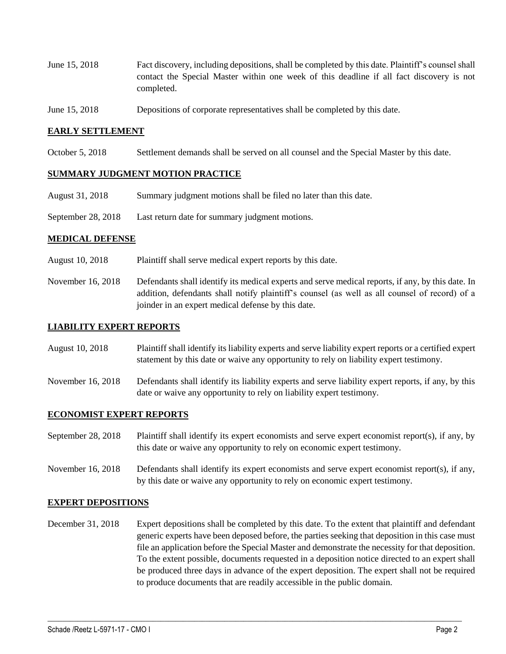- June 15, 2018 Fact discovery, including depositions, shall be completed by this date. Plaintiff's counsel shall contact the Special Master within one week of this deadline if all fact discovery is not completed.
- June 15, 2018 Depositions of corporate representatives shall be completed by this date.

### **EARLY SETTLEMENT**

October 5, 2018 Settlement demands shall be served on all counsel and the Special Master by this date.

#### **SUMMARY JUDGMENT MOTION PRACTICE**

- August 31, 2018 Summary judgment motions shall be filed no later than this date.
- September 28, 2018 Last return date for summary judgment motions.

#### **MEDICAL DEFENSE**

- August 10, 2018 Plaintiff shall serve medical expert reports by this date.
- November 16, 2018 Defendants shall identify its medical experts and serve medical reports, if any, by this date. In addition, defendants shall notify plaintiff's counsel (as well as all counsel of record) of a joinder in an expert medical defense by this date.

#### **LIABILITY EXPERT REPORTS**

- August 10, 2018 Plaintiff shall identify its liability experts and serve liability expert reports or a certified expert statement by this date or waive any opportunity to rely on liability expert testimony.
- November 16, 2018 Defendants shall identify its liability experts and serve liability expert reports, if any, by this date or waive any opportunity to rely on liability expert testimony.

#### **ECONOMIST EXPERT REPORTS**

- September 28, 2018 Plaintiff shall identify its expert economists and serve expert economist report(s), if any, by this date or waive any opportunity to rely on economic expert testimony.
- November 16, 2018 Defendants shall identify its expert economists and serve expert economist report(s), if any, by this date or waive any opportunity to rely on economic expert testimony.

#### **EXPERT DEPOSITIONS**

December 31, 2018 Expert depositions shall be completed by this date. To the extent that plaintiff and defendant generic experts have been deposed before, the parties seeking that deposition in this case must file an application before the Special Master and demonstrate the necessity for that deposition. To the extent possible, documents requested in a deposition notice directed to an expert shall be produced three days in advance of the expert deposition. The expert shall not be required to produce documents that are readily accessible in the public domain.

 $\_$  ,  $\_$  ,  $\_$  ,  $\_$  ,  $\_$  ,  $\_$  ,  $\_$  ,  $\_$  ,  $\_$  ,  $\_$  ,  $\_$  ,  $\_$  ,  $\_$  ,  $\_$  ,  $\_$  ,  $\_$  ,  $\_$  ,  $\_$  ,  $\_$  ,  $\_$  ,  $\_$  ,  $\_$  ,  $\_$  ,  $\_$  ,  $\_$  ,  $\_$  ,  $\_$  ,  $\_$  ,  $\_$  ,  $\_$  ,  $\_$  ,  $\_$  ,  $\_$  ,  $\_$  ,  $\_$  ,  $\_$  ,  $\_$  ,